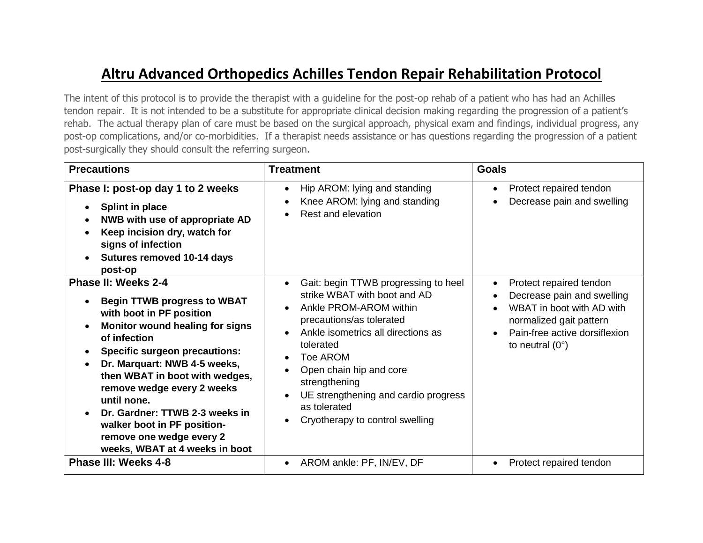## **Altru Advanced Orthopedics Achilles Tendon Repair Rehabilitation Protocol**

The intent of this protocol is to provide the therapist with a guideline for the post-op rehab of a patient who has had an Achilles tendon repair. It is not intended to be a substitute for appropriate clinical decision making regarding the progression of a patient's rehab. The actual therapy plan of care must be based on the surgical approach, physical exam and findings, individual progress, any post-op complications, and/or co-morbidities. If a therapist needs assistance or has questions regarding the progression of a patient post-surgically they should consult the referring surgeon.

| <b>Precautions</b>                                                                                                                                                                                                                                                                                                                                                                                                                    | <b>Treatment</b>                                                                                                                                                                                                                                                                                                                                                                                         | <b>Goals</b>                                                                                                                                                                            |
|---------------------------------------------------------------------------------------------------------------------------------------------------------------------------------------------------------------------------------------------------------------------------------------------------------------------------------------------------------------------------------------------------------------------------------------|----------------------------------------------------------------------------------------------------------------------------------------------------------------------------------------------------------------------------------------------------------------------------------------------------------------------------------------------------------------------------------------------------------|-----------------------------------------------------------------------------------------------------------------------------------------------------------------------------------------|
| Phase I: post-op day 1 to 2 weeks<br><b>Splint in place</b><br>NWB with use of appropriate AD<br>Keep incision dry, watch for<br>signs of infection<br>Sutures removed 10-14 days<br>post-op                                                                                                                                                                                                                                          | Hip AROM: lying and standing<br>Knee AROM: lying and standing<br>Rest and elevation                                                                                                                                                                                                                                                                                                                      | Protect repaired tendon<br>$\bullet$<br>Decrease pain and swelling                                                                                                                      |
| Phase II: Weeks 2-4<br><b>Begin TTWB progress to WBAT</b><br>with boot in PF position<br><b>Monitor wound healing for signs</b><br>of infection<br><b>Specific surgeon precautions:</b><br>Dr. Marquart: NWB 4-5 weeks,<br>then WBAT in boot with wedges,<br>remove wedge every 2 weeks<br>until none.<br>Dr. Gardner: TTWB 2-3 weeks in<br>walker boot in PF position-<br>remove one wedge every 2<br>weeks, WBAT at 4 weeks in boot | Gait: begin TTWB progressing to heel<br>$\bullet$<br>strike WBAT with boot and AD<br>Ankle PROM-AROM within<br>$\bullet$<br>precautions/as tolerated<br>Ankle isometrics all directions as<br>tolerated<br><b>Toe AROM</b><br>$\bullet$<br>Open chain hip and core<br>strengthening<br>UE strengthening and cardio progress<br>$\bullet$<br>as tolerated<br>Cryotherapy to control swelling<br>$\bullet$ | Protect repaired tendon<br>$\bullet$<br>Decrease pain and swelling<br>WBAT in boot with AD with<br>normalized gait pattern<br>Pain-free active dorsiflexion<br>to neutral $(0^{\circ})$ |
| <b>Phase III: Weeks 4-8</b>                                                                                                                                                                                                                                                                                                                                                                                                           | AROM ankle: PF, IN/EV, DF<br>$\bullet$                                                                                                                                                                                                                                                                                                                                                                   | Protect repaired tendon<br>$\bullet$                                                                                                                                                    |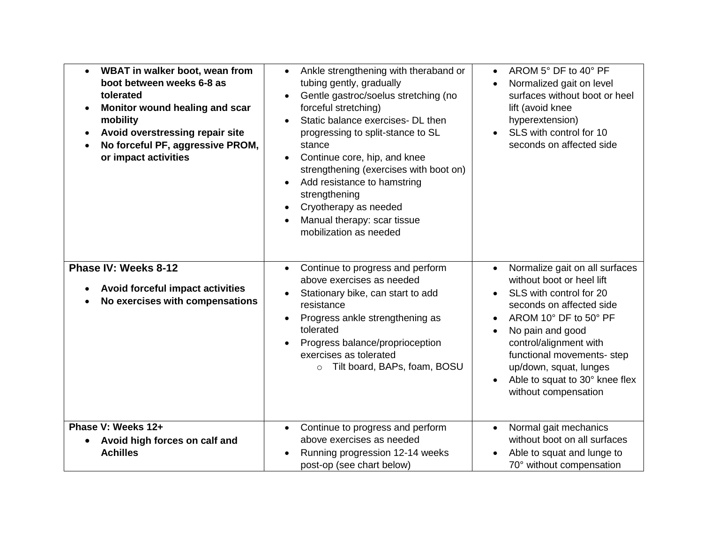| WBAT in walker boot, wean from<br>$\bullet$<br>boot between weeks 6-8 as<br>tolerated<br>Monitor wound healing and scar<br>$\bullet$<br>mobility<br>Avoid overstressing repair site<br>$\bullet$<br>No forceful PF, aggressive PROM,<br>or impact activities | Ankle strengthening with theraband or<br>$\bullet$<br>tubing gently, gradually<br>Gentle gastroc/soelus stretching (no<br>$\bullet$<br>forceful stretching)<br>Static balance exercises- DL then<br>$\bullet$<br>progressing to split-stance to SL<br>stance<br>Continue core, hip, and knee<br>$\bullet$<br>strengthening (exercises with boot on)<br>Add resistance to hamstring<br>strengthening<br>Cryotherapy as needed<br>$\bullet$<br>Manual therapy: scar tissue<br>mobilization as needed | AROM 5° DF to 40° PF<br>$\bullet$<br>Normalized gait on level<br>$\bullet$<br>surfaces without boot or heel<br>lift (avoid knee<br>hyperextension)<br>SLS with control for 10<br>seconds on affected side                                                                                                                             |
|--------------------------------------------------------------------------------------------------------------------------------------------------------------------------------------------------------------------------------------------------------------|----------------------------------------------------------------------------------------------------------------------------------------------------------------------------------------------------------------------------------------------------------------------------------------------------------------------------------------------------------------------------------------------------------------------------------------------------------------------------------------------------|---------------------------------------------------------------------------------------------------------------------------------------------------------------------------------------------------------------------------------------------------------------------------------------------------------------------------------------|
| Phase IV: Weeks 8-12<br>Avoid forceful impact activities<br>No exercises with compensations                                                                                                                                                                  | Continue to progress and perform<br>$\bullet$<br>above exercises as needed<br>Stationary bike, can start to add<br>$\bullet$<br>resistance<br>Progress ankle strengthening as<br>$\bullet$<br>tolerated<br>Progress balance/proprioception<br>$\bullet$<br>exercises as tolerated<br>Tilt board, BAPs, foam, BOSU<br>$\circ$                                                                                                                                                                       | Normalize gait on all surfaces<br>$\bullet$<br>without boot or heel lift<br>SLS with control for 20<br>seconds on affected side<br>AROM 10° DF to 50° PF<br>$\bullet$<br>No pain and good<br>control/alignment with<br>functional movements- step<br>up/down, squat, lunges<br>Able to squat to 30° knee flex<br>without compensation |
| Phase V: Weeks 12+<br>Avoid high forces on calf and<br><b>Achilles</b>                                                                                                                                                                                       | Continue to progress and perform<br>$\bullet$<br>above exercises as needed<br>Running progression 12-14 weeks<br>post-op (see chart below)                                                                                                                                                                                                                                                                                                                                                         | Normal gait mechanics<br>$\bullet$<br>without boot on all surfaces<br>Able to squat and lunge to<br>$\bullet$<br>70° without compensation                                                                                                                                                                                             |